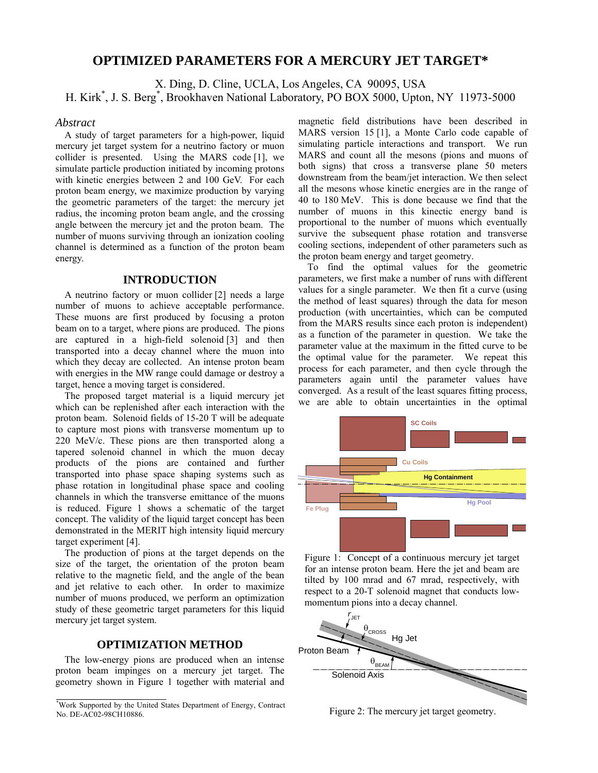# **OPTIMIZED PARAMETERS FOR A MERCURY JET TARGET\***

X. Ding, D. Cline, UCLA, Los Angeles, CA 90095, USA H. Kirk\* , J. S. Berg\* , Brookhaven National Laboratory, PO BOX 5000, Upton, NY 11973-5000

## *Abstract*

A study of target parameters for a high-power, liquid mercury jet target system for a neutrino factory or muon collider is presented. Using the MARS code [1], we simulate particle production initiated by incoming protons with kinetic energies between 2 and 100 GeV. For each proton beam energy, we maximize production by varying the geometric parameters of the target: the mercury jet radius, the incoming proton beam angle, and the crossing angle between the mercury jet and the proton beam. The number of muons surviving through an ionization cooling channel is determined as a function of the proton beam energy.

## **INTRODUCTION**

A neutrino factory or muon collider [2] needs a large number of muons to achieve acceptable performance. These muons are first produced by focusing a proton beam on to a target, where pions are produced. The pions are captured in a high-field solenoid [3] and then transported into a decay channel where the muon into which they decay are collected. An intense proton beam with energies in the MW range could damage or destroy a target, hence a moving target is considered.

The proposed target material is a liquid mercury jet which can be replenished after each interaction with the proton beam. Solenoid fields of 15-20 T will be adequate to capture most pions with transverse momentum up to 220 MeV/c. These pions are then transported along a tapered solenoid channel in which the muon decay products of the pions are contained and further transported into phase space shaping systems such as phase rotation in longitudinal phase space and cooling channels in which the transverse emittance of the muons is reduced. Figure 1 shows a schematic of the target concept. The validity of the liquid target concept has been demonstrated in the MERIT high intensity liquid mercury target experiment [4].

The production of pions at the target depends on the size of the target, the orientation of the proton beam relative to the magnetic field, and the angle of the bean and jet relative to each other. In order to maximize number of muons produced, we perform an optimization study of these geometric target parameters for this liquid mercury jet target system.

## **OPTIMIZATION METHOD**

The low-energy pions are produced when an intense proton beam impinges on a mercury jet target. The geometry shown in Figure 1 together with material and

magnetic field distributions have been described in MARS version 15 [1], a Monte Carlo code capable of simulating particle interactions and transport. We run MARS and count all the mesons (pions and muons of both signs) that cross a transverse plane 50 meters downstream from the beam/jet interaction. We then select all the mesons whose kinetic energies are in the range of 40 to 180 MeV. This is done because we find that the number of muons in this kinectic energy band is proportional to the number of muons which eventually survive the subsequent phase rotation and transverse cooling sections, independent of other parameters such as the proton beam energy and target geometry.

To find the optimal values for the geometric parameters, we first make a number of runs with different values for a single parameter. We then fit a curve (using the method of least squares) through the data for meson production (with uncertainties, which can be computed from the MARS results since each proton is independent) as a function of the parameter in question. We take the parameter value at the maximum in the fitted curve to be the optimal value for the parameter. We repeat this process for each parameter, and then cycle through the parameters again until the parameter values have converged. As a result of the least squares fitting process, we are able to obtain uncertainties in the optimal



Figure 1: Concept of a continuous mercury jet target for an intense proton beam. Here the jet and beam are tilted by 100 mrad and 67 mrad, respectively, with respect to a 20-T solenoid magnet that conducts lowmomentum pions into a decay channel.



Figure 2: The mercury jet target geometry.

<sup>\*</sup> Work Supported by the United States Department of Energy, Contract No. DE-AC02-98CH10886.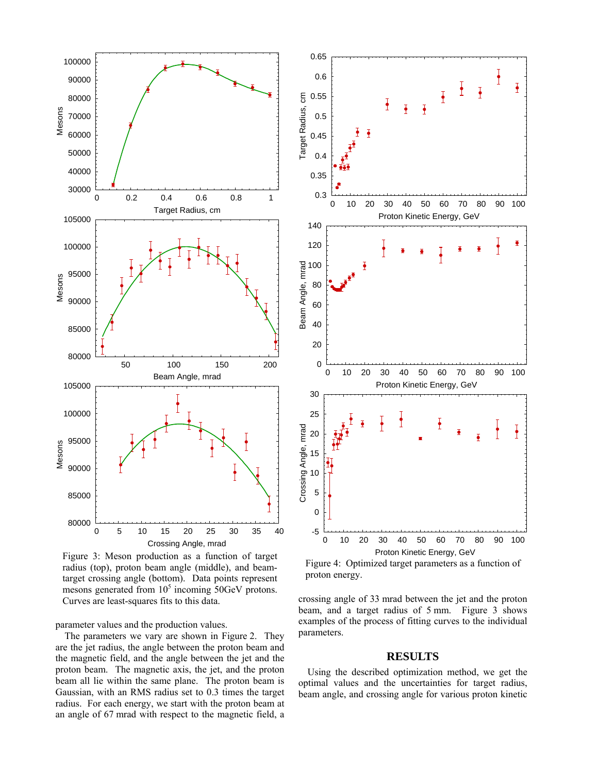

Figure 3: Meson production as a function of target radius (top), proton beam angle (middle), and beamtarget crossing angle (bottom). Data points represent mesons generated from  $10<sup>5</sup>$  incoming  $50 GeV$  protons. Curves are least-squares fits to this data.

parameter values and the production values.

The parameters we vary are shown in Figure 2. They are the jet radius, the angle between the proton beam and the magnetic field, and the angle between the jet and the proton beam. The magnetic axis, the jet, and the proton beam all lie within the same plane. The proton beam is Gaussian, with an RMS radius set to 0.3 times the target radius. For each energy, we start with the proton beam at an angle of 67 mrad with respect to the magnetic field, a



Figure 4: Optimized target parameters as a function of proton energy.

crossing angle of 33 mrad between the jet and the proton beam, and a target radius of 5 mm. Figure 3 shows examples of the process of fitting curves to the individual parameters.

### **RESULTS**

Using the described optimization method, we get the optimal values and the uncertainties for target radius, beam angle, and crossing angle for various proton kinetic